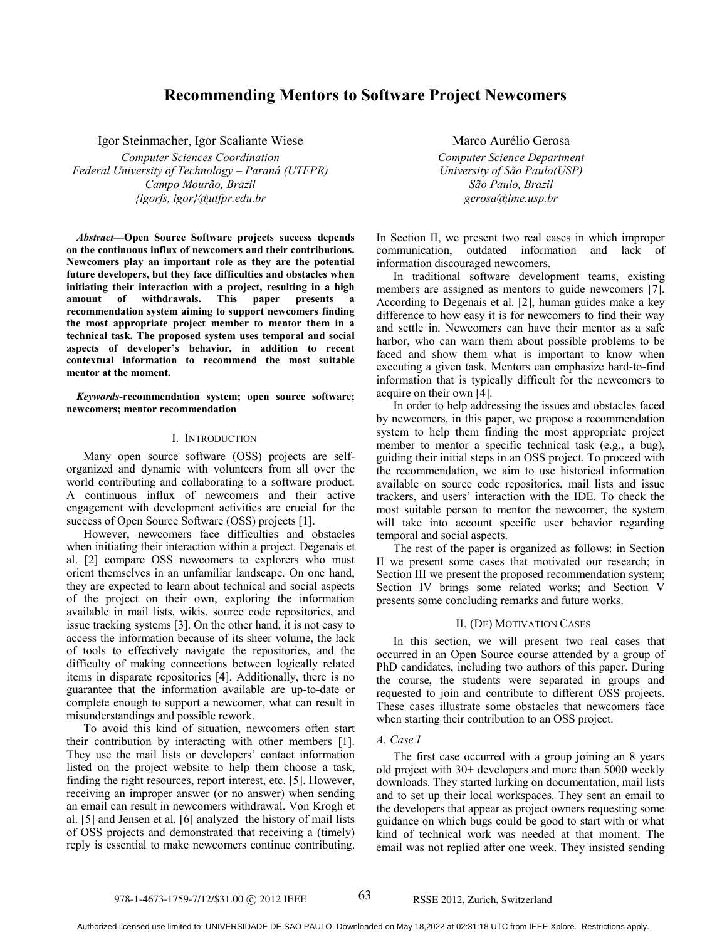# **Recommending Mentors to Software Project Newcomers**

Igor Steinmacher, Igor Scaliante Wiese *Computer Sciences Coordination Federal University of Technology – Paraná (UTFPR) Campo Mourão, Brazil {igorfs, igor}@utfpr.edu.br*

*Abstract***—Open Source Software projects success depends on the continuous influx of newcomers and their contributions. Newcomers play an important role as they are the potential future developers, but they face difficulties and obstacles when initiating their interaction with a project, resulting in a high amount of withdrawals. This paper presents a recommendation system aiming to support newcomers finding the most appropriate project member to mentor them in a technical task. The proposed system uses temporal and social aspects of developer's behavior, in addition to recent contextual information to recommend the most suitable mentor at the moment.**

*Keywords***-recommendation system; open source software; newcomers; mentor recommendation**

# I. INTRODUCTION

Many open source software (OSS) projects are selforganized and dynamic with volunteers from all over the world contributing and collaborating to a software product. A continuous influx of newcomers and their active engagement with development activities are crucial for the success of Open Source Software (OSS) projects [1].

However, newcomers face difficulties and obstacles when initiating their interaction within a project. Degenais et al. [2] compare OSS newcomers to explorers who must orient themselves in an unfamiliar landscape. On one hand, they are expected to learn about technical and social aspects of the project on their own, exploring the information available in mail lists, wikis, source code repositories, and issue tracking systems [3]. On the other hand, it is not easy to access the information because of its sheer volume, the lack of tools to effectively navigate the repositories, and the difficulty of making connections between logically related items in disparate repositories [4]. Additionally, there is no guarantee that the information available are up-to-date or complete enough to support a newcomer, what can result in misunderstandings and possible rework.

To avoid this kind of situation, newcomers often start their contribution by interacting with other members [1]. They use the mail lists or developers' contact information listed on the project website to help them choose a task, finding the right resources, report interest, etc. [5]. However, receiving an improper answer (or no answer) when sending an email can result in newcomers withdrawal. Von Krogh et al. [5] and Jensen et al. [6] analyzed the history of mail lists of OSS projects and demonstrated that receiving a (timely) reply is essential to make newcomers continue contributing.

Marco Aurélio Gerosa *Computer Science Department University of São Paulo(USP) São Paulo, Brazil gerosa@ime.usp.br*

In Section II, we present two real cases in which improper communication, outdated information and lack of information discouraged newcomers.

In traditional software development teams, existing members are assigned as mentors to guide newcomers [7]. According to Degenais et al. [2], human guides make a key difference to how easy it is for newcomers to find their way and settle in. Newcomers can have their mentor as a safe harbor, who can warn them about possible problems to be faced and show them what is important to know when executing a given task. Mentors can emphasize hard-to-find information that is typically difficult for the newcomers to acquire on their own [4].

In order to help addressing the issues and obstacles faced by newcomers, in this paper, we propose a recommendation system to help them finding the most appropriate project member to mentor a specific technical task (e.g., a bug), guiding their initial steps in an OSS project. To proceed with the recommendation, we aim to use historical information available on source code repositories, mail lists and issue trackers, and users' interaction with the IDE. To check the most suitable person to mentor the newcomer, the system will take into account specific user behavior regarding temporal and social aspects.

The rest of the paper is organized as follows: in Section II we present some cases that motivated our research; in Section III we present the proposed recommendation system; Section IV brings some related works; and Section V presents some concluding remarks and future works.

# II. (DE) MOTIVATION CASES

In this section, we will present two real cases that occurred in an Open Source course attended by a group of PhD candidates, including two authors of this paper. During the course, the students were separated in groups and requested to join and contribute to different OSS projects. These cases illustrate some obstacles that newcomers face when starting their contribution to an OSS project.

#### *A. Case I*

The first case occurred with a group joining an 8 years old project with 30+ developers and more than 5000 weekly downloads. They started lurking on documentation, mail lists and to set up their local workspaces. They sent an email to the developers that appear as project owners requesting some guidance on which bugs could be good to start with or what kind of technical work was needed at that moment. The email was not replied after one week. They insisted sending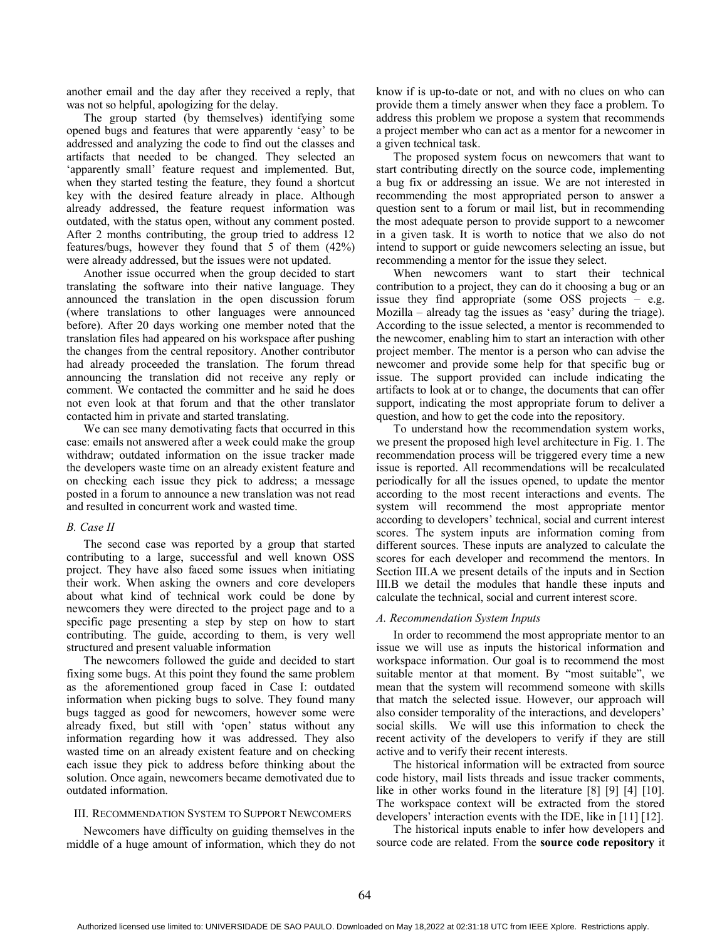another email and the day after they received a reply, that was not so helpful, apologizing for the delay.

The group started (by themselves) identifying some opened bugs and features that were apparently 'easy' to be addressed and analyzing the code to find out the classes and artifacts that needed to be changed. They selected an 'apparently small' feature request and implemented. But, when they started testing the feature, they found a shortcut key with the desired feature already in place. Although already addressed, the feature request information was outdated, with the status open, without any comment posted. After 2 months contributing, the group tried to address 12 features/bugs, however they found that 5 of them (42%) were already addressed, but the issues were not updated.

Another issue occurred when the group decided to start translating the software into their native language. They announced the translation in the open discussion forum (where translations to other languages were announced before). After 20 days working one member noted that the translation files had appeared on his workspace after pushing the changes from the central repository. Another contributor had already proceeded the translation. The forum thread announcing the translation did not receive any reply or comment. We contacted the committer and he said he does not even look at that forum and that the other translator contacted him in private and started translating.

We can see many demotivating facts that occurred in this case: emails not answered after a week could make the group withdraw; outdated information on the issue tracker made the developers waste time on an already existent feature and on checking each issue they pick to address; a message posted in a forum to announce a new translation was not read and resulted in concurrent work and wasted time.

# *B. Case II*

The second case was reported by a group that started contributing to a large, successful and well known OSS project. They have also faced some issues when initiating their work. When asking the owners and core developers about what kind of technical work could be done by newcomers they were directed to the project page and to a specific page presenting a step by step on how to start contributing. The guide, according to them, is very well structured and present valuable information

The newcomers followed the guide and decided to start fixing some bugs. At this point they found the same problem as the aforementioned group faced in Case I: outdated information when picking bugs to solve. They found many bugs tagged as good for newcomers, however some were already fixed, but still with 'open' status without any information regarding how it was addressed. They also wasted time on an already existent feature and on checking each issue they pick to address before thinking about the solution. Once again, newcomers became demotivated due to outdated information.

#### III. RECOMMENDATION SYSTEM TO SUPPORT NEWCOMERS

Newcomers have difficulty on guiding themselves in the middle of a huge amount of information, which they do not know if is up-to-date or not, and with no clues on who can provide them a timely answer when they face a problem. To address this problem we propose a system that recommends a project member who can act as a mentor for a newcomer in a given technical task.

The proposed system focus on newcomers that want to start contributing directly on the source code, implementing a bug fix or addressing an issue. We are not interested in recommending the most appropriated person to answer a question sent to a forum or mail list, but in recommending the most adequate person to provide support to a newcomer in a given task. It is worth to notice that we also do not intend to support or guide newcomers selecting an issue, but recommending a mentor for the issue they select.

When newcomers want to start their technical contribution to a project, they can do it choosing a bug or an issue they find appropriate (some OSS projects  $-$  e.g. Mozilla – already tag the issues as 'easy' during the triage). According to the issue selected, a mentor is recommended to the newcomer, enabling him to start an interaction with other project member. The mentor is a person who can advise the newcomer and provide some help for that specific bug or issue. The support provided can include indicating the artifacts to look at or to change, the documents that can offer support, indicating the most appropriate forum to deliver a question, and how to get the code into the repository.

To understand how the recommendation system works, we present the proposed high level architecture in Fig. 1. The recommendation process will be triggered every time a new issue is reported. All recommendations will be recalculated periodically for all the issues opened, to update the mentor according to the most recent interactions and events. The system will recommend the most appropriate mentor according to developers' technical, social and current interest scores. The system inputs are information coming from different sources. These inputs are analyzed to calculate the scores for each developer and recommend the mentors. In Section III.A we present details of the inputs and in Section III.B we detail the modules that handle these inputs and calculate the technical, social and current interest score.

## *A. Recommendation System Inputs*

In order to recommend the most appropriate mentor to an issue we will use as inputs the historical information and workspace information. Our goal is to recommend the most suitable mentor at that moment. By "most suitable", we mean that the system will recommend someone with skills that match the selected issue. However, our approach will also consider temporality of the interactions, and developers' social skills. We will use this information to check the recent activity of the developers to verify if they are still active and to verify their recent interests.

The historical information will be extracted from source code history, mail lists threads and issue tracker comments, like in other works found in the literature [8] [9] [4] [10]. The workspace context will be extracted from the stored developers' interaction events with the IDE, like in [11] [12].

The historical inputs enable to infer how developers and source code are related. From the **source code repository** it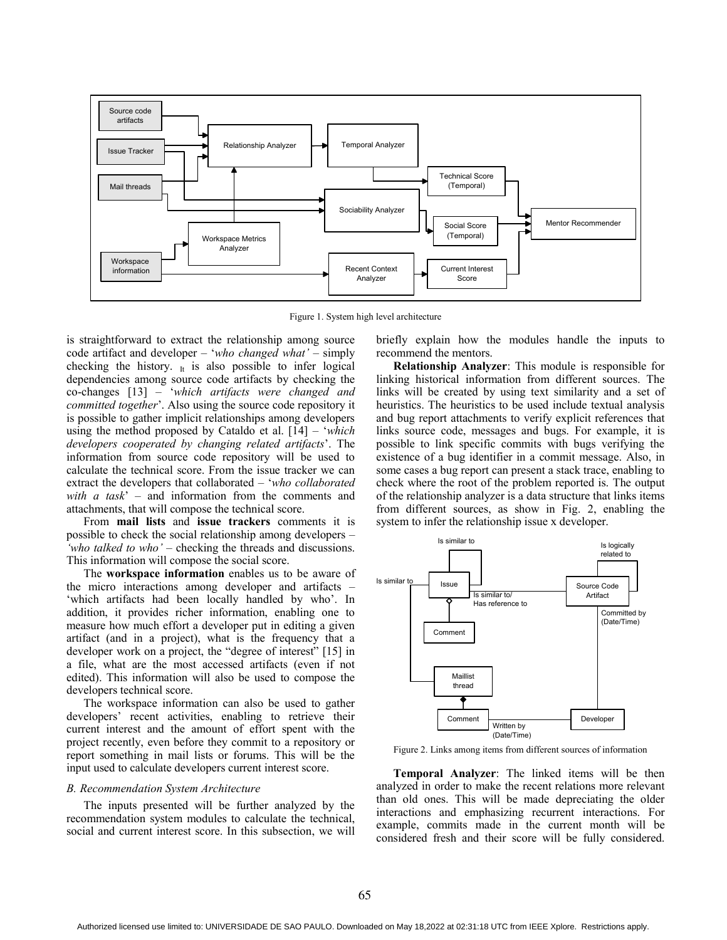

Figure 1. System high level architecture

is straightforward to extract the relationship among source code artifact and developer – '*who changed what'* – simply checking the history.  $_{\text{It}}$  is also possible to infer logical dependencies among source code artifacts by checking the co-changes [13] – '*which artifacts were changed and committed together*'. Also using the source code repository it is possible to gather implicit relationships among developers using the method proposed by Cataldo et al. [14] – '*which developers cooperated by changing related artifacts*'. The information from source code repository will be used to calculate the technical score. From the issue tracker we can extract the developers that collaborated – '*who collaborated with a task*' – and information from the comments and attachments, that will compose the technical score.

From **mail lists** and **issue trackers** comments it is possible to check the social relationship among developers – *'who talked to who'* – checking the threads and discussions. This information will compose the social score.

The **workspace information** enables us to be aware of the micro interactions among developer and artifacts – 'which artifacts had been locally handled by who'. In addition, it provides richer information, enabling one to measure how much effort a developer put in editing a given artifact (and in a project), what is the frequency that a developer work on a project, the "degree of interest" [15] in a file, what are the most accessed artifacts (even if not edited). This information will also be used to compose the developers technical score.

The workspace information can also be used to gather developers' recent activities, enabling to retrieve their current interest and the amount of effort spent with the project recently, even before they commit to a repository or report something in mail lists or forums. This will be the input used to calculate developers current interest score.

#### *B. Recommendation System Architecture*

The inputs presented will be further analyzed by the recommendation system modules to calculate the technical, social and current interest score. In this subsection, we will briefly explain how the modules handle the inputs to recommend the mentors.

**Relationship Analyzer**: This module is responsible for linking historical information from different sources. The links will be created by using text similarity and a set of heuristics. The heuristics to be used include textual analysis and bug report attachments to verify explicit references that links source code, messages and bugs. For example, it is possible to link specific commits with bugs verifying the existence of a bug identifier in a commit message. Also, in some cases a bug report can present a stack trace, enabling to check where the root of the problem reported is. The output of the relationship analyzer is a data structure that links items from different sources, as show in Fig. 2, enabling the system to infer the relationship issue x developer.



Figure 2. Links among items from different sources of information

**Temporal Analyzer**: The linked items will be then analyzed in order to make the recent relations more relevant than old ones. This will be made depreciating the older interactions and emphasizing recurrent interactions. For example, commits made in the current month will be considered fresh and their score will be fully considered.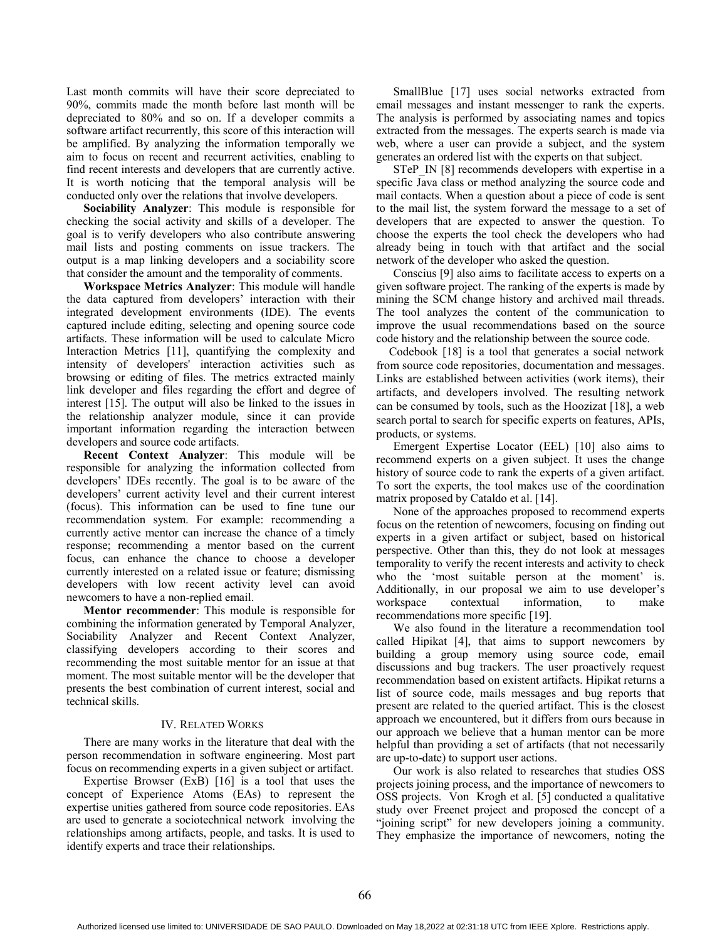Last month commits will have their score depreciated to 90%, commits made the month before last month will be depreciated to 80% and so on. If a developer commits a software artifact recurrently, this score of this interaction will be amplified. By analyzing the information temporally we aim to focus on recent and recurrent activities, enabling to find recent interests and developers that are currently active. It is worth noticing that the temporal analysis will be conducted only over the relations that involve developers.

**Sociability Analyzer**: This module is responsible for checking the social activity and skills of a developer. The goal is to verify developers who also contribute answering mail lists and posting comments on issue trackers. The output is a map linking developers and a sociability score that consider the amount and the temporality of comments.

**Workspace Metrics Analyzer**: This module will handle the data captured from developers' interaction with their integrated development environments (IDE). The events captured include editing, selecting and opening source code artifacts. These information will be used to calculate Micro Interaction Metrics [11], quantifying the complexity and intensity of developers' interaction activities such as browsing or editing of files. The metrics extracted mainly link developer and files regarding the effort and degree of interest [15]. The output will also be linked to the issues in the relationship analyzer module, since it can provide important information regarding the interaction between developers and source code artifacts.

**Recent Context Analyzer**: This module will be responsible for analyzing the information collected from developers' IDEs recently. The goal is to be aware of the developers' current activity level and their current interest (focus). This information can be used to fine tune our recommendation system. For example: recommending a currently active mentor can increase the chance of a timely response; recommending a mentor based on the current focus, can enhance the chance to choose a developer currently interested on a related issue or feature; dismissing developers with low recent activity level can avoid newcomers to have a non-replied email.

**Mentor recommender**: This module is responsible for combining the information generated by Temporal Analyzer, Sociability Analyzer and Recent Context Analyzer, classifying developers according to their scores and recommending the most suitable mentor for an issue at that moment. The most suitable mentor will be the developer that presents the best combination of current interest, social and technical skills.

# IV. RELATED WORKS

There are many works in the literature that deal with the person recommendation in software engineering. Most part focus on recommending experts in a given subject or artifact.

Expertise Browser (ExB) [16] is a tool that uses the concept of Experience Atoms (EAs) to represent the expertise unities gathered from source code repositories. EAs are used to generate a sociotechnical network involving the relationships among artifacts, people, and tasks. It is used to identify experts and trace their relationships.

SmallBlue [17] uses social networks extracted from email messages and instant messenger to rank the experts. The analysis is performed by associating names and topics extracted from the messages. The experts search is made via web, where a user can provide a subject, and the system generates an ordered list with the experts on that subject.

STeP IN [8] recommends developers with expertise in a specific Java class or method analyzing the source code and mail contacts. When a question about a piece of code is sent to the mail list, the system forward the message to a set of developers that are expected to answer the question. To choose the experts the tool check the developers who had already being in touch with that artifact and the social network of the developer who asked the question.

Conscius [9] also aims to facilitate access to experts on a given software project. The ranking of the experts is made by mining the SCM change history and archived mail threads. The tool analyzes the content of the communication to improve the usual recommendations based on the source code history and the relationship between the source code.

Codebook [18] is a tool that generates a social network from source code repositories, documentation and messages. Links are established between activities (work items), their artifacts, and developers involved. The resulting network can be consumed by tools, such as the Hoozizat [18], a web search portal to search for specific experts on features, APIs, products, or systems.

Emergent Expertise Locator (EEL) [10] also aims to recommend experts on a given subject. It uses the change history of source code to rank the experts of a given artifact. To sort the experts, the tool makes use of the coordination matrix proposed by Cataldo et al. [14].

None of the approaches proposed to recommend experts focus on the retention of newcomers, focusing on finding out experts in a given artifact or subject, based on historical perspective. Other than this, they do not look at messages temporality to verify the recent interests and activity to check who the 'most suitable person at the moment' is. Additionally, in our proposal we aim to use developer's workspace contextual information, to make recommendations more specific [19].

We also found in the literature a recommendation tool called Hipikat [4], that aims to support newcomers by building a group memory using source code, email discussions and bug trackers. The user proactively request recommendation based on existent artifacts. Hipikat returns a list of source code, mails messages and bug reports that present are related to the queried artifact. This is the closest approach we encountered, but it differs from ours because in our approach we believe that a human mentor can be more helpful than providing a set of artifacts (that not necessarily are up-to-date) to support user actions.

Our work is also related to researches that studies OSS projects joining process, and the importance of newcomers to OSS projects. Von Krogh et al. [5] conducted a qualitative study over Freenet project and proposed the concept of a "joining script" for new developers joining a community. They emphasize the importance of newcomers, noting the